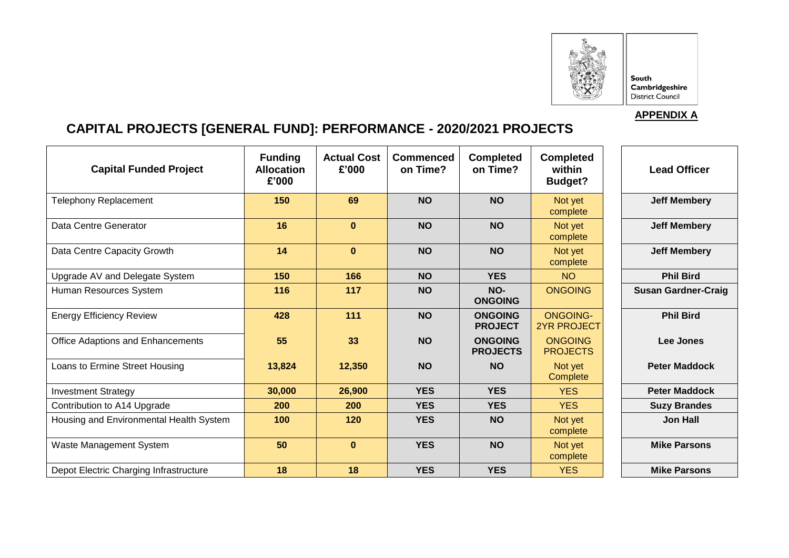

South **Cambridgeshire**<br>District Council

## **APPENDIX A**

# **CAPITAL PROJECTS [GENERAL FUND]: PERFORMANCE - 2020/2021 PROJECTS**

| <b>Capital Funded Project</b>           | <b>Funding</b><br><b>Allocation</b><br>£'000 | <b>Actual Cost</b><br>£'000 | Commenced<br>on Time? | <b>Completed</b><br>on Time?      | <b>Completed</b><br>within<br><b>Budget?</b> | <b>Lead Officer</b>        |
|-----------------------------------------|----------------------------------------------|-----------------------------|-----------------------|-----------------------------------|----------------------------------------------|----------------------------|
| <b>Telephony Replacement</b>            | 150                                          | 69                          | <b>NO</b>             | <b>NO</b>                         | Not yet<br>complete                          | <b>Jeff Membery</b>        |
| Data Centre Generator                   | 16                                           | $\mathbf{0}$                | <b>NO</b>             | <b>NO</b>                         | Not yet<br>complete                          | <b>Jeff Membery</b>        |
| Data Centre Capacity Growth             | 14                                           | $\bf{0}$                    | <b>NO</b>             | <b>NO</b>                         | Not yet<br>complete                          | <b>Jeff Membery</b>        |
| Upgrade AV and Delegate System          | 150                                          | 166                         | <b>NO</b>             | <b>YES</b>                        | <b>NO</b>                                    | <b>Phil Bird</b>           |
| Human Resources System                  | 116                                          | 117                         | <b>NO</b>             | NO-<br><b>ONGOING</b>             | <b>ONGOING</b>                               | <b>Susan Gardner-Craig</b> |
| <b>Energy Efficiency Review</b>         | 428                                          | 111                         | <b>NO</b>             | <b>ONGOING</b><br><b>PROJECT</b>  | <b>ONGOING-</b><br><b>2YR PROJECT</b>        | <b>Phil Bird</b>           |
| Office Adaptions and Enhancements       | 55                                           | 33                          | <b>NO</b>             | <b>ONGOING</b><br><b>PROJECTS</b> | <b>ONGOING</b><br><b>PROJECTS</b>            | Lee Jones                  |
| Loans to Ermine Street Housing          | 13,824                                       | 12,350                      | <b>NO</b>             | <b>NO</b>                         | Not yet<br>Complete                          | <b>Peter Maddock</b>       |
| <b>Investment Strategy</b>              | 30,000                                       | 26,900                      | <b>YES</b>            | <b>YES</b>                        | <b>YES</b>                                   | <b>Peter Maddock</b>       |
| Contribution to A14 Upgrade             | 200                                          | 200                         | <b>YES</b>            | <b>YES</b>                        | <b>YES</b>                                   | <b>Suzy Brandes</b>        |
| Housing and Environmental Health System | 100                                          | 120                         | <b>YES</b>            | <b>NO</b>                         | Not yet<br>complete                          | <b>Jon Hall</b>            |
| Waste Management System                 | 50                                           | $\mathbf{0}$                | <b>YES</b>            | <b>NO</b>                         | Not yet<br>complete                          | <b>Mike Parsons</b>        |
| Depot Electric Charging Infrastructure  | 18                                           | 18                          | <b>YES</b>            | <b>YES</b>                        | <b>YES</b>                                   | <b>Mike Parsons</b>        |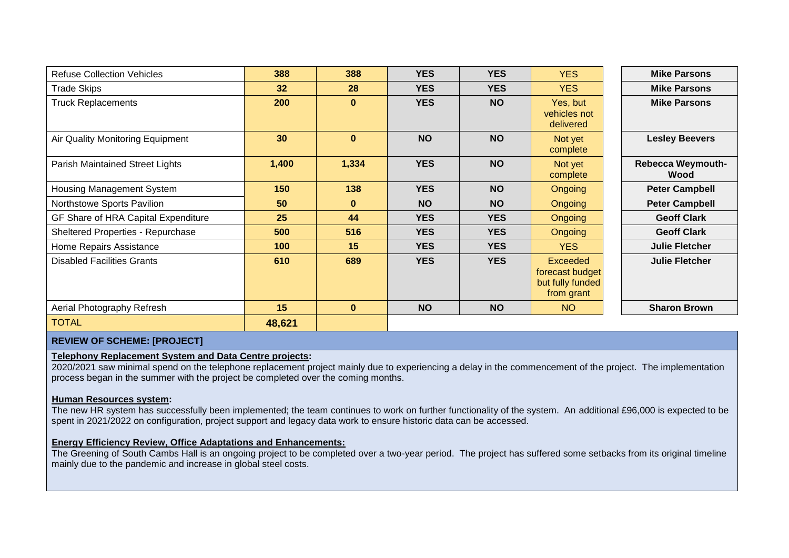| <b>Refuse Collection Vehicles</b>   | 388    | 388      | <b>YES</b> | <b>YES</b> | <b>YES</b>                                                           | <b>Mike Parsons</b>              |
|-------------------------------------|--------|----------|------------|------------|----------------------------------------------------------------------|----------------------------------|
| <b>Trade Skips</b>                  | 32     | 28       | <b>YES</b> | <b>YES</b> | <b>YES</b>                                                           | <b>Mike Parsons</b>              |
| <b>Truck Replacements</b>           | 200    | $\bf{0}$ | <b>YES</b> | <b>NO</b>  | Yes, but<br>vehicles not<br>delivered                                | <b>Mike Parsons</b>              |
| Air Quality Monitoring Equipment    | 30     | $\bf{0}$ | <b>NO</b>  | <b>NO</b>  | Not yet<br>complete                                                  | <b>Lesley Beevers</b>            |
| Parish Maintained Street Lights     | 1,400  | 1,334    | <b>YES</b> | <b>NO</b>  | Not yet<br>complete                                                  | <b>Rebecca Weymouth-</b><br>Wood |
| Housing Management System           | 150    | 138      | <b>YES</b> | <b>NO</b>  | Ongoing                                                              | <b>Peter Campbell</b>            |
| Northstowe Sports Pavilion          | 50     | $\bf{0}$ | <b>NO</b>  | <b>NO</b>  | <b>Ongoing</b>                                                       | <b>Peter Campbell</b>            |
| GF Share of HRA Capital Expenditure | 25     | 44       | <b>YES</b> | <b>YES</b> | <b>Ongoing</b>                                                       | <b>Geoff Clark</b>               |
| Sheltered Properties - Repurchase   | 500    | 516      | <b>YES</b> | <b>YES</b> | <b>Ongoing</b>                                                       | <b>Geoff Clark</b>               |
| Home Repairs Assistance             | 100    | 15       | <b>YES</b> | <b>YES</b> | <b>YES</b>                                                           | <b>Julie Fletcher</b>            |
| <b>Disabled Facilities Grants</b>   | 610    | 689      | <b>YES</b> | <b>YES</b> | <b>Exceeded</b><br>forecast budget<br>but fully funded<br>from grant | <b>Julie Fletcher</b>            |
| Aerial Photography Refresh          | 15     | $\bf{0}$ | <b>NO</b>  | <b>NO</b>  | <b>NO</b>                                                            | <b>Sharon Brown</b>              |
| <b>TOTAL</b>                        | 48,621 |          |            |            |                                                                      |                                  |

## **REVIEW OF SCHEME: [PROJECT]**

#### **Telephony Replacement System and Data Centre projects:**

2020/2021 saw minimal spend on the telephone replacement project mainly due to experiencing a delay in the commencement of the project. The implementation process began in the summer with the project be completed over the coming months.

#### **Human Resources system:**

The new HR system has successfully been implemented; the team continues to work on further functionality of the system. An additional £96,000 is expected to be spent in 2021/2022 on configuration, project support and legacy data work to ensure historic data can be accessed.

#### **Energy Efficiency Review, Office Adaptations and Enhancements:**

The Greening of South Cambs Hall is an ongoing project to be completed over a two-year period. The project has suffered some setbacks from its original timeline mainly due to the pandemic and increase in global steel costs.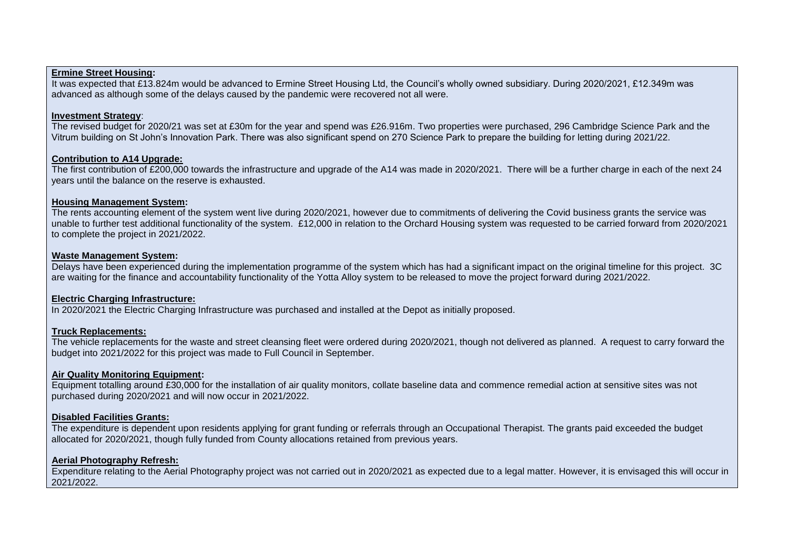#### **Ermine Street Housing:**

It was expected that £13.824m would be advanced to Ermine Street Housing Ltd, the Council's wholly owned subsidiary. During 2020/2021, £12.349m was advanced as although some of the delays caused by the pandemic were recovered not all were.

#### **Investment Strategy**:

The revised budget for 2020/21 was set at £30m for the year and spend was £26.916m. Two properties were purchased, 296 Cambridge Science Park and the Vitrum building on St John's Innovation Park. There was also significant spend on 270 Science Park to prepare the building for letting during 2021/22.

#### **Contribution to A14 Upgrade:**

The first contribution of £200,000 towards the infrastructure and upgrade of the A14 was made in 2020/2021. There will be a further charge in each of the next 24 years until the balance on the reserve is exhausted.

#### **Housing Management System:**

The rents accounting element of the system went live during 2020/2021, however due to commitments of delivering the Covid business grants the service was unable to further test additional functionality of the system. £12,000 in relation to the Orchard Housing system was requested to be carried forward from 2020/2021 to complete the project in 2021/2022.

#### **Waste Management System:**

Delays have been experienced during the implementation programme of the system which has had a significant impact on the original timeline for this project. 3C are waiting for the finance and accountability functionality of the Yotta Alloy system to be released to move the project forward during 2021/2022.

#### **Electric Charging Infrastructure:**

In 2020/2021 the Electric Charging Infrastructure was purchased and installed at the Depot as initially proposed.

#### **Truck Replacements:**

The vehicle replacements for the waste and street cleansing fleet were ordered during 2020/2021, though not delivered as planned. A request to carry forward the budget into 2021/2022 for this project was made to Full Council in September.

#### **Air Quality Monitoring Equipment:**

Equipment totalling around £30,000 for the installation of air quality monitors, collate baseline data and commence remedial action at sensitive sites was not purchased during 2020/2021 and will now occur in 2021/2022.

#### **Disabled Facilities Grants:**

The expenditure is dependent upon residents applying for grant funding or referrals through an Occupational Therapist. The grants paid exceeded the budget allocated for 2020/2021, though fully funded from County allocations retained from previous years.

#### **Aerial Photography Refresh:**

Expenditure relating to the Aerial Photography project was not carried out in 2020/2021 as expected due to a legal matter. However, it is envisaged this will occur in 2021/2022.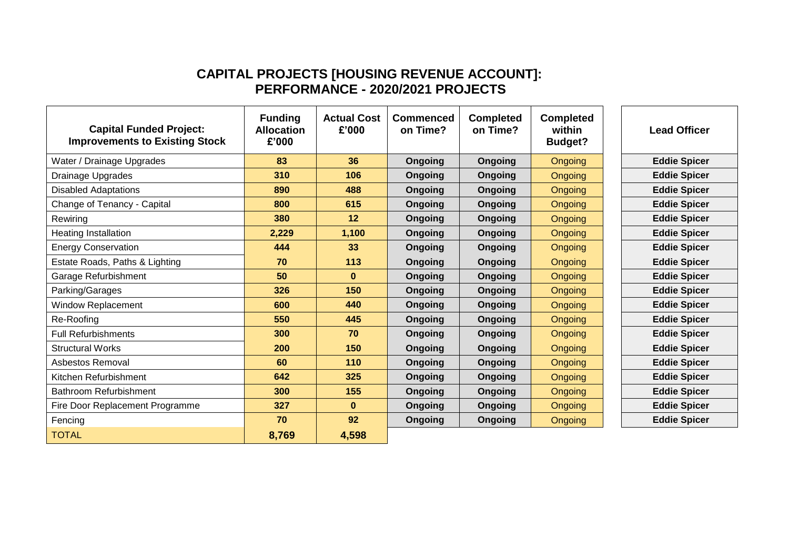# **CAPITAL PROJECTS [HOUSING REVENUE ACCOUNT]: PERFORMANCE - 2020/2021 PROJECTS**

| <b>Capital Funded Project:</b><br><b>Improvements to Existing Stock</b> | <b>Funding</b><br><b>Allocation</b><br>£'000 | <b>Actual Cost</b><br>£'000 | <b>Commenced</b><br>on Time? | <b>Completed</b><br>on Time? | <b>Completed</b><br>within<br><b>Budget?</b> | <b>Lead Officer</b> |
|-------------------------------------------------------------------------|----------------------------------------------|-----------------------------|------------------------------|------------------------------|----------------------------------------------|---------------------|
| Water / Drainage Upgrades                                               | 83                                           | 36                          | <b>Ongoing</b>               | <b>Ongoing</b>               | Ongoing                                      | <b>Eddie Spicer</b> |
| Drainage Upgrades                                                       | 310                                          | 106                         | Ongoing                      | <b>Ongoing</b>               | Ongoing                                      | <b>Eddie Spicer</b> |
| <b>Disabled Adaptations</b>                                             | 890                                          | 488                         | Ongoing                      | Ongoing                      | Ongoing                                      | <b>Eddie Spicer</b> |
| Change of Tenancy - Capital                                             | 800                                          | 615                         | <b>Ongoing</b>               | <b>Ongoing</b>               | Ongoing                                      | <b>Eddie Spicer</b> |
| Rewiring                                                                | 380                                          | 12                          | Ongoing                      | <b>Ongoing</b>               | Ongoing                                      | <b>Eddie Spicer</b> |
| Heating Installation                                                    | 2,229                                        | 1,100                       | Ongoing                      | Ongoing                      | Ongoing                                      | <b>Eddie Spicer</b> |
| <b>Energy Conservation</b>                                              | 444                                          | 33                          | Ongoing                      | <b>Ongoing</b>               | Ongoing                                      | <b>Eddie Spicer</b> |
| Estate Roads, Paths & Lighting                                          | 70                                           | 113                         | Ongoing                      | Ongoing                      | Ongoing                                      | <b>Eddie Spicer</b> |
| Garage Refurbishment                                                    | 50                                           | $\mathbf{0}$                | Ongoing                      | Ongoing                      | Ongoing                                      | <b>Eddie Spicer</b> |
| Parking/Garages                                                         | 326                                          | 150                         | <b>Ongoing</b>               | Ongoing                      | Ongoing                                      | <b>Eddie Spicer</b> |
| <b>Window Replacement</b>                                               | 600                                          | 440                         | <b>Ongoing</b>               | Ongoing                      | Ongoing                                      | <b>Eddie Spicer</b> |
| Re-Roofing                                                              | 550                                          | 445                         | <b>Ongoing</b>               | <b>Ongoing</b>               | Ongoing                                      | <b>Eddie Spicer</b> |
| <b>Full Refurbishments</b>                                              | 300                                          | 70                          | <b>Ongoing</b>               | Ongoing                      | Ongoing                                      | <b>Eddie Spicer</b> |
| <b>Structural Works</b>                                                 | 200                                          | 150                         | Ongoing                      | Ongoing                      | <b>Ongoing</b>                               | <b>Eddie Spicer</b> |
| Asbestos Removal                                                        | 60                                           | 110                         | <b>Ongoing</b>               | <b>Ongoing</b>               | <b>Ongoing</b>                               | <b>Eddie Spicer</b> |
| Kitchen Refurbishment                                                   | 642                                          | 325                         | Ongoing                      | <b>Ongoing</b>               | <b>Ongoing</b>                               | <b>Eddie Spicer</b> |
| <b>Bathroom Refurbishment</b>                                           | 300                                          | 155                         | Ongoing                      | <b>Ongoing</b>               | Ongoing                                      | <b>Eddie Spicer</b> |
| Fire Door Replacement Programme                                         | 327                                          | $\mathbf{0}$                | <b>Ongoing</b>               | Ongoing                      | Ongoing                                      | <b>Eddie Spicer</b> |
| Fencing                                                                 | 70                                           | 92                          | Ongoing                      | Ongoing                      | <b>Ongoing</b>                               | <b>Eddie Spicer</b> |
| <b>TOTAL</b>                                                            | 8,769                                        | 4,598                       |                              |                              |                                              |                     |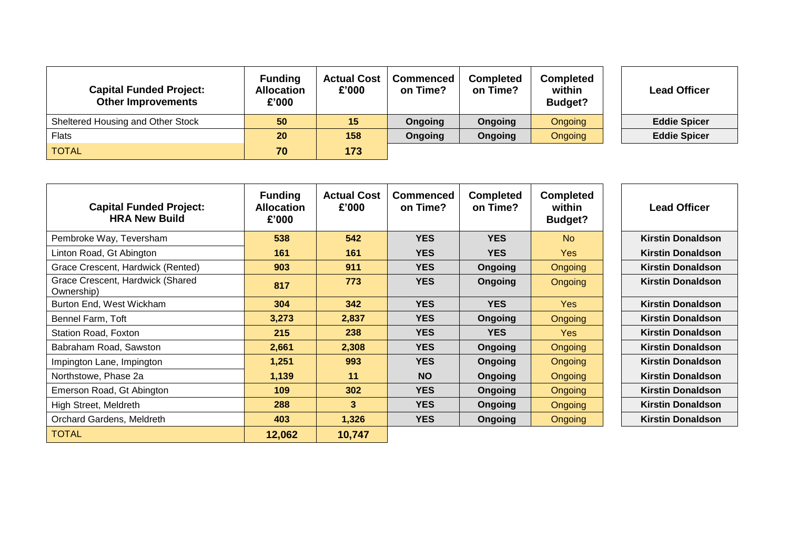| <b>Capital Funded Project:</b><br><b>Other Improvements</b> | <b>Funding</b><br><b>Allocation</b><br>£'000 | <b>Actual Cost</b><br>£'000 | <b>Commenced</b><br>on Time? | <b>Completed</b><br>on Time? | <b>Completed</b><br>within<br>Budget? | <b>Lead Officer</b> |
|-------------------------------------------------------------|----------------------------------------------|-----------------------------|------------------------------|------------------------------|---------------------------------------|---------------------|
| Sheltered Housing and Other Stock                           | 50                                           | 15                          | <b>Ongoing</b>               | Ongoing                      | Ongoing                               | <b>Eddie Spicer</b> |
| <b>Flats</b>                                                | 20                                           | 158                         | <b>Ongoing</b>               | Ongoing                      | Ongoing                               | <b>Eddie Spicer</b> |
| <b>TOTAL</b>                                                | 70                                           | 173                         |                              |                              |                                       |                     |

| <b>Capital Funded Project:</b><br><b>HRA New Build</b> | <b>Funding</b><br><b>Allocation</b><br>£'000 | <b>Actual Cost</b><br>£'000 | <b>Commenced</b><br>on Time? | <b>Completed</b><br>on Time? | <b>Completed</b><br>within<br>Budget? | <b>Lead Officer</b>      |
|--------------------------------------------------------|----------------------------------------------|-----------------------------|------------------------------|------------------------------|---------------------------------------|--------------------------|
| Pembroke Way, Teversham                                | 538                                          | 542                         | <b>YES</b>                   | <b>YES</b>                   | N <sub>o</sub>                        | <b>Kirstin Donaldson</b> |
| Linton Road, Gt Abington                               | 161                                          | 161                         | <b>YES</b>                   | <b>YES</b>                   | <b>Yes</b>                            | <b>Kirstin Donaldson</b> |
| Grace Crescent, Hardwick (Rented)                      | 903                                          | 911                         | <b>YES</b>                   | <b>Ongoing</b>               | <b>Ongoing</b>                        | <b>Kirstin Donaldson</b> |
| Grace Crescent, Hardwick (Shared<br>Ownership)         | 817                                          | 773                         | <b>YES</b>                   | <b>Ongoing</b>               | <b>Ongoing</b>                        | <b>Kirstin Donaldson</b> |
| Burton End, West Wickham                               | 304                                          | 342                         | <b>YES</b>                   | <b>YES</b>                   | Yes                                   | <b>Kirstin Donaldson</b> |
| Bennel Farm, Toft                                      | 3,273                                        | 2,837                       | <b>YES</b>                   | <b>Ongoing</b>               | Ongoing                               | <b>Kirstin Donaldson</b> |
| Station Road, Foxton                                   | 215                                          | 238                         | <b>YES</b>                   | <b>YES</b>                   | <b>Yes</b>                            | <b>Kirstin Donaldson</b> |
| Babraham Road, Sawston                                 | 2,661                                        | 2,308                       | <b>YES</b>                   | <b>Ongoing</b>               | <b>Ongoing</b>                        | <b>Kirstin Donaldson</b> |
| Impington Lane, Impington                              | 1,251                                        | 993                         | <b>YES</b>                   | <b>Ongoing</b>               | <b>Ongoing</b>                        | <b>Kirstin Donaldson</b> |
| Northstowe, Phase 2a                                   | 1,139                                        | 11                          | <b>NO</b>                    | <b>Ongoing</b>               | <b>Ongoing</b>                        | <b>Kirstin Donaldson</b> |
| Emerson Road, Gt Abington                              | 109                                          | 302                         | <b>YES</b>                   | <b>Ongoing</b>               | <b>Ongoing</b>                        | <b>Kirstin Donaldson</b> |
| High Street, Meldreth                                  | 288                                          | 3                           | <b>YES</b>                   | Ongoing                      | <b>Ongoing</b>                        | <b>Kirstin Donaldson</b> |
| Orchard Gardens, Meldreth                              | 403                                          | 1,326                       | <b>YES</b>                   | Ongoing                      | <b>Ongoing</b>                        | <b>Kirstin Donaldson</b> |
| <b>TOTAL</b>                                           | 12,062                                       | 10,747                      |                              |                              |                                       |                          |